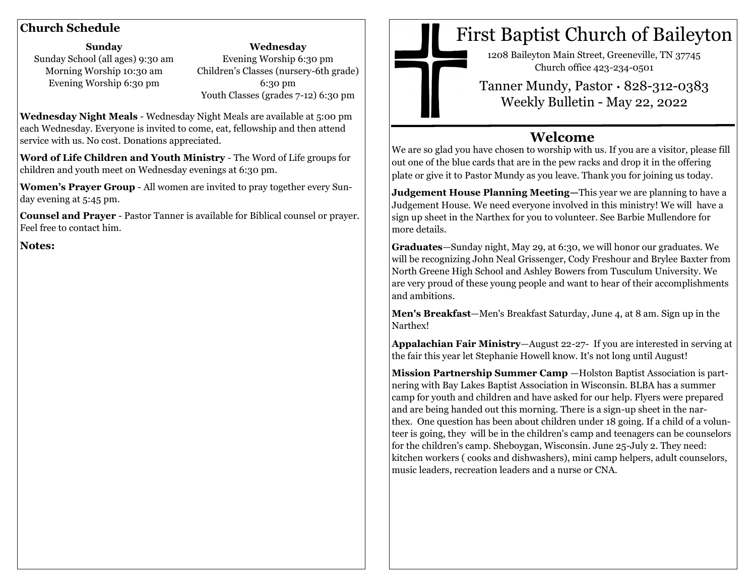**Sunday** Sunday School (all ages) 9:30 am Morning Worship 10:30 am Evening Worship 6:30 pm

**Wednesday** Evening Worship 6:30 pm Children's Classes (nursery-6th grade) 6:30 pm Youth Classes (grades 7-12) 6:30 pm

**Wednesday Night Meals** - Wednesday Night Meals are available at 5:00 pm each Wednesday. Everyone is invited to come, eat, fellowship and then attend service with us. No cost. Donations appreciated.

**Word of Life Children and Youth Ministry** - The Word of Life groups for children and youth meet on Wednesday evenings at 6:30 pm.

**Women's Prayer Group** - All women are invited to pray together every Sunday evening at 5:45 pm.

**Counsel and Prayer** - Pastor Tanner is available for Biblical counsel or prayer. Feel free to contact him.

**Notes:** 



# **Church Schedule Church Schedule First Baptist Church of Baileyton**

1208 Baileyton Main Street, Greeneville, TN 37745 Church office 423-234-0501

Tanner Mundy, Pastor · 828-312-0383 Weekly Bulletin - May 22, 2022

## **Welcome**

We are so glad you have chosen to worship with us. If you are a visitor, please fill out one of the blue cards that are in the pew racks and drop it in the offering plate or give it to Pastor Mundy as you leave. Thank you for joining us today.

**Judgement House Planning Meeting—**This year we are planning to have a Judgement House. We need everyone involved in this ministry! We will have a sign up sheet in the Narthex for you to volunteer. See Barbie Mullendore for more details.

**Graduates**—Sunday night, May 29, at 6:30, we will honor our graduates. We will be recognizing John Neal Grissenger, Cody Freshour and Brylee Baxter from North Greene High School and Ashley Bowers from Tusculum University. We are very proud of these young people and want to hear of their accomplishments and ambitions.

**Men's Breakfast**—Men's Breakfast Saturday, June 4, at 8 am. Sign up in the Narthex!

**Appalachian Fair Ministry**—August 22-27- If you are interested in serving at the fair this year let Stephanie Howell know. It's not long until August!

**Mission Partnership Summer Camp** —Holston Baptist Association is partnering with Bay Lakes Baptist Association in Wisconsin. BLBA has a summer camp for youth and children and have asked for our help. Flyers were prepared and are being handed out this morning. There is a sign-up sheet in the narthex. One question has been about children under 18 going. If a child of a volunteer is going, they will be in the children's camp and teenagers can be counselors for the children's camp. Sheboygan, Wisconsin. June 25-July 2. They need: kitchen workers ( cooks and dishwashers), mini camp helpers, adult counselors, music leaders, recreation leaders and a nurse or CNA.